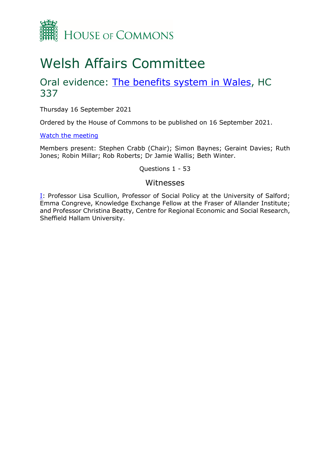

# Welsh Affairs Committee

## Oral evidence: [The benefits system in Wales,](https://committees.parliament.uk/work/1291/the-benefits-system-in-wales/) HC 337

Thursday 16 September 2021

Ordered by the House of Commons to be published on 16 September 2021.

[Watch the meeting](https://parliamentlive.tv/Event/Index/ccb797c5-d8b8-4950-8242-fe0e161c94e2)

Members present: Stephen Crabb (Chair); Simon Baynes; Geraint Davies; Ruth Jones; Robin Millar; Rob Roberts; Dr Jamie Wallis; Beth Winter.

Questions 1 - 53

#### Witnesses

**[I:](#page-1-0)** Professor Lisa Scullion, Professor of Social Policy at the University of Salford; Emma Congreve, Knowledge Exchange Fellow at the Fraser of Allander Institute; and Professor Christina Beatty, Centre for Regional Economic and Social Research, Sheffield Hallam University.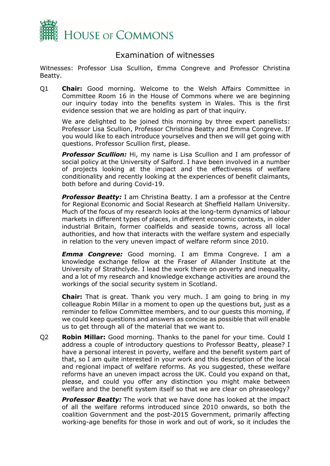

### Examination of witnesses

<span id="page-1-0"></span>Witnesses: Professor Lisa Scullion, Emma Congreve and Professor Christina Beatty.

Q1 **Chair:** Good morning. Welcome to the Welsh Affairs Committee in Committee Room 16 in the House of Commons where we are beginning our inquiry today into the benefits system in Wales. This is the first evidence session that we are holding as part of that inquiry.

We are delighted to be joined this morning by three expert panellists: Professor Lisa Scullion, Professor Christina Beatty and Emma Congreve. If you would like to each introduce yourselves and then we will get going with questions. Professor Scullion first, please.

**Professor Scullion:** Hi, my name is Lisa Scullion and I am professor of social policy at the University of Salford. I have been involved in a number of projects looking at the impact and the effectiveness of welfare conditionality and recently looking at the experiences of benefit claimants, both before and during Covid-19.

*Professor Beatty:* I am Christina Beatty. I am a professor at the Centre for Regional Economic and Social Research at Sheffield Hallam University. Much of the focus of my research looks at the long-term dynamics of labour markets in different types of places, in different economic contexts, in older industrial Britain, former coalfields and seaside towns, across all local authorities, and how that interacts with the welfare system and especially in relation to the very uneven impact of welfare reform since 2010.

*Emma Congreve:* Good morning. I am Emma Congreve. I am a knowledge exchange fellow at the Fraser of Allander Institute at the University of Strathclyde. I lead the work there on poverty and inequality, and a lot of my research and knowledge exchange activities are around the workings of the social security system in Scotland.

**Chair:** That is great. Thank you very much. I am going to bring in my colleague Robin Millar in a moment to open up the questions but, just as a reminder to fellow Committee members, and to our guests this morning, if we could keep questions and answers as concise as possible that will enable us to get through all of the material that we want to.

Q2 **Robin Millar:** Good morning. Thanks to the panel for your time. Could I address a couple of introductory questions to Professor Beatty, please? I have a personal interest in poverty, welfare and the benefit system part of that, so I am quite interested in your work and this description of the local and regional impact of welfare reforms. As you suggested, these welfare reforms have an uneven impact across the UK. Could you expand on that, please, and could you offer any distinction you might make between welfare and the benefit system itself so that we are clear on phraseology?

**Professor Beatty:** The work that we have done has looked at the impact of all the welfare reforms introduced since 2010 onwards, so both the coalition Government and the post-2015 Government, primarily affecting working-age benefits for those in work and out of work, so it includes the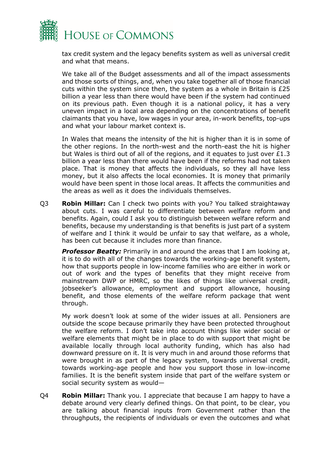

tax credit system and the legacy benefits system as well as universal credit and what that means.

We take all of the Budget assessments and all of the impact assessments and those sorts of things, and, when you take together all of those financial cuts within the system since then, the system as a whole in Britain is £25 billion a year less than there would have been if the system had continued on its previous path. Even though it is a national policy, it has a very uneven impact in a local area depending on the concentrations of benefit claimants that you have, low wages in your area, in-work benefits, top-ups and what your labour market context is.

In Wales that means the intensity of the hit is higher than it is in some of the other regions. In the north-west and the north-east the hit is higher but Wales is third out of all of the regions, and it equates to just over £1.3 billion a year less than there would have been if the reforms had not taken place. That is money that affects the individuals, so they all have less money, but it also affects the local economies. It is money that primarily would have been spent in those local areas. It affects the communities and the areas as well as it does the individuals themselves.

Q3 **Robin Millar:** Can I check two points with you? You talked straightaway about cuts. I was careful to differentiate between welfare reform and benefits. Again, could I ask you to distinguish between welfare reform and benefits, because my understanding is that benefits is just part of a system of welfare and I think it would be unfair to say that welfare, as a whole, has been cut because it includes more than finance.

*Professor Beatty:* Primarily in and around the areas that I am looking at, it is to do with all of the changes towards the working-age benefit system, how that supports people in low-income families who are either in work or out of work and the types of benefits that they might receive from mainstream DWP or HMRC, so the likes of things like universal credit, jobseeker's allowance, employment and support allowance, housing benefit, and those elements of the welfare reform package that went through.

My work doesn't look at some of the wider issues at all. Pensioners are outside the scope because primarily they have been protected throughout the welfare reform. I don't take into account things like wider social or welfare elements that might be in place to do with support that might be available locally through local authority funding, which has also had downward pressure on it. It is very much in and around those reforms that were brought in as part of the legacy system, towards universal credit, towards working-age people and how you support those in low-income families. It is the benefit system inside that part of the welfare system or social security system as would—

Q4 **Robin Millar:** Thank you. I appreciate that because I am happy to have a debate around very clearly defined things. On that point, to be clear, you are talking about financial inputs from Government rather than the throughputs, the recipients of individuals or even the outcomes and what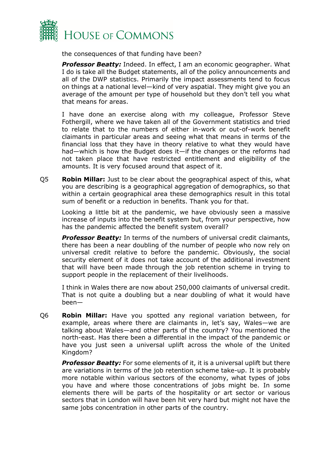

the consequences of that funding have been?

*Professor Beatty:* Indeed. In effect, I am an economic geographer. What I do is take all the Budget statements, all of the policy announcements and all of the DWP statistics. Primarily the impact assessments tend to focus on things at a national level—kind of very aspatial. They might give you an average of the amount per type of household but they don't tell you what that means for areas.

I have done an exercise along with my colleague, Professor Steve Fothergill, where we have taken all of the Government statistics and tried to relate that to the numbers of either in-work or out-of-work benefit claimants in particular areas and seeing what that means in terms of the financial loss that they have in theory relative to what they would have had—which is how the Budget does it—if the changes or the reforms had not taken place that have restricted entitlement and eligibility of the amounts. It is very focused around that aspect of it.

Q5 **Robin Millar:** Just to be clear about the geographical aspect of this, what you are describing is a geographical aggregation of demographics, so that within a certain geographical area these demographics result in this total sum of benefit or a reduction in benefits. Thank you for that.

Looking a little bit at the pandemic, we have obviously seen a massive increase of inputs into the benefit system but, from your perspective, how has the pandemic affected the benefit system overall?

*Professor Beatty:* In terms of the numbers of universal credit claimants, there has been a near doubling of the number of people who now rely on universal credit relative to before the pandemic. Obviously, the social security element of it does not take account of the additional investment that will have been made through the job retention scheme in trying to support people in the replacement of their livelihoods.

I think in Wales there are now about 250,000 claimants of universal credit. That is not quite a doubling but a near doubling of what it would have been—

Q6 **Robin Millar:** Have you spotted any regional variation between, for example, areas where there are claimants in, let's say, Wales—we are talking about Wales—and other parts of the country? You mentioned the north-east. Has there been a differential in the impact of the pandemic or have you just seen a universal uplift across the whole of the United Kingdom?

*Professor Beatty:* For some elements of it, it is a universal uplift but there are variations in terms of the job retention scheme take-up. It is probably more notable within various sectors of the economy, what types of jobs you have and where those concentrations of jobs might be. In some elements there will be parts of the hospitality or art sector or various sectors that in London will have been hit very hard but might not have the same jobs concentration in other parts of the country.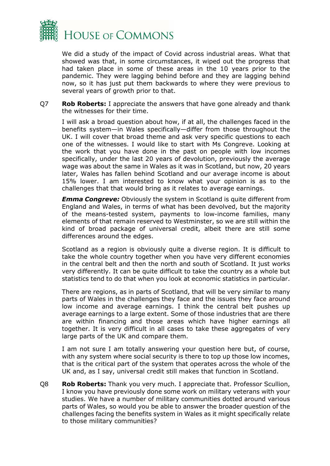

We did a study of the impact of Covid across industrial areas. What that showed was that, in some circumstances, it wiped out the progress that had taken place in some of these areas in the 10 years prior to the pandemic. They were lagging behind before and they are lagging behind now, so it has just put them backwards to where they were previous to several years of growth prior to that.

Q7 **Rob Roberts:** I appreciate the answers that have gone already and thank the witnesses for their time.

I will ask a broad question about how, if at all, the challenges faced in the benefits system—in Wales specifically—differ from those throughout the UK. I will cover that broad theme and ask very specific questions to each one of the witnesses. I would like to start with Ms Congreve. Looking at the work that you have done in the past on people with low incomes specifically, under the last 20 years of devolution, previously the average wage was about the same in Wales as it was in Scotland, but now, 20 years later, Wales has fallen behind Scotland and our average income is about 15% lower. I am interested to know what your opinion is as to the challenges that that would bring as it relates to average earnings.

*Emma Congreve:* Obviously the system in Scotland is quite different from England and Wales, in terms of what has been devolved, but the majority of the means-tested system, payments to low-income families, many elements of that remain reserved to Westminster, so we are still within the kind of broad package of universal credit, albeit there are still some differences around the edges.

Scotland as a region is obviously quite a diverse region. It is difficult to take the whole country together when you have very different economies in the central belt and then the north and south of Scotland. It just works very differently. It can be quite difficult to take the country as a whole but statistics tend to do that when you look at economic statistics in particular.

There are regions, as in parts of Scotland, that will be very similar to many parts of Wales in the challenges they face and the issues they face around low income and average earnings. I think the central belt pushes up average earnings to a large extent. Some of those industries that are there are within financing and those areas which have higher earnings all together. It is very difficult in all cases to take these aggregates of very large parts of the UK and compare them.

I am not sure I am totally answering your question here but, of course, with any system where social security is there to top up those low incomes, that is the critical part of the system that operates across the whole of the UK and, as I say, universal credit still makes that function in Scotland.

Q8 **Rob Roberts:** Thank you very much. I appreciate that. Professor Scullion, I know you have previously done some work on military veterans with your studies. We have a number of military communities dotted around various parts of Wales, so would you be able to answer the broader question of the challenges facing the benefits system in Wales as it might specifically relate to those military communities?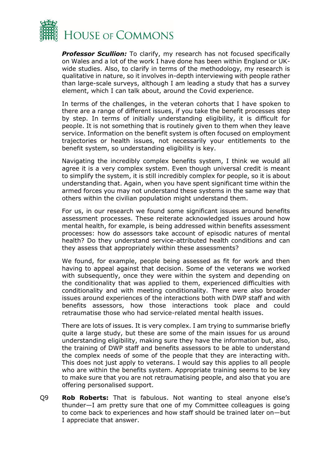

**Professor Scullion:** To clarify, my research has not focused specifically on Wales and a lot of the work I have done has been within England or UKwide studies. Also, to clarify in terms of the methodology, my research is qualitative in nature, so it involves in-depth interviewing with people rather than large-scale surveys, although I am leading a study that has a survey element, which I can talk about, around the Covid experience.

In terms of the challenges, in the veteran cohorts that I have spoken to there are a range of different issues, if you take the benefit processes step by step. In terms of initially understanding eligibility, it is difficult for people. It is not something that is routinely given to them when they leave service. Information on the benefit system is often focused on employment trajectories or health issues, not necessarily your entitlements to the benefit system, so understanding eligibility is key.

Navigating the incredibly complex benefits system, I think we would all agree it is a very complex system. Even though universal credit is meant to simplify the system, it is still incredibly complex for people, so it is about understanding that. Again, when you have spent significant time within the armed forces you may not understand these systems in the same way that others within the civilian population might understand them.

For us, in our research we found some significant issues around benefits assessment processes. These reiterate acknowledged issues around how mental health, for example, is being addressed within benefits assessment processes: how do assessors take account of episodic natures of mental health? Do they understand service-attributed health conditions and can they assess that appropriately within these assessments?

We found, for example, people being assessed as fit for work and then having to appeal against that decision. Some of the veterans we worked with subsequently, once they were within the system and depending on the conditionality that was applied to them, experienced difficulties with conditionality and with meeting conditionality. There were also broader issues around experiences of the interactions both with DWP staff and with benefits assessors, how those interactions took place and could retraumatise those who had service-related mental health issues.

There are lots of issues. It is very complex. I am trying to summarise briefly quite a large study, but these are some of the main issues for us around understanding eligibility, making sure they have the information but, also, the training of DWP staff and benefits assessors to be able to understand the complex needs of some of the people that they are interacting with. This does not just apply to veterans. I would say this applies to all people who are within the benefits system. Appropriate training seems to be key to make sure that you are not retraumatising people, and also that you are offering personalised support.

Q9 **Rob Roberts:** That is fabulous. Not wanting to steal anyone else's thunder—I am pretty sure that one of my Committee colleagues is going to come back to experiences and how staff should be trained later on—but I appreciate that answer.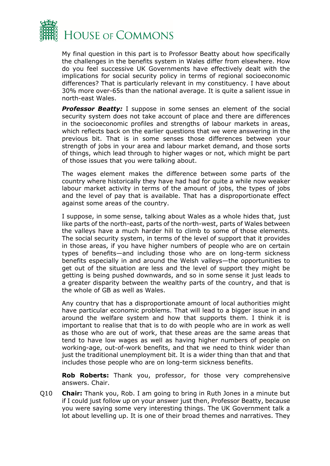

My final question in this part is to Professor Beatty about how specifically the challenges in the benefits system in Wales differ from elsewhere. How do you feel successive UK Governments have effectively dealt with the implications for social security policy in terms of regional socioeconomic differences? That is particularly relevant in my constituency. I have about 30% more over-65s than the national average. It is quite a salient issue in north-east Wales.

**Professor Beatty:** I suppose in some senses an element of the social security system does not take account of place and there are differences in the socioeconomic profiles and strengths of labour markets in areas, which reflects back on the earlier questions that we were answering in the previous bit. That is in some senses those differences between your strength of jobs in your area and labour market demand, and those sorts of things, which lead through to higher wages or not, which might be part of those issues that you were talking about.

The wages element makes the difference between some parts of the country where historically they have had had for quite a while now weaker labour market activity in terms of the amount of jobs, the types of jobs and the level of pay that is available. That has a disproportionate effect against some areas of the country.

I suppose, in some sense, talking about Wales as a whole hides that, just like parts of the north-east, parts of the north-west, parts of Wales between the valleys have a much harder hill to climb to some of those elements. The social security system, in terms of the level of support that it provides in those areas, if you have higher numbers of people who are on certain types of benefits—and including those who are on long-term sickness benefits especially in and around the Welsh valleys—the opportunities to get out of the situation are less and the level of support they might be getting is being pushed downwards, and so in some sense it just leads to a greater disparity between the wealthy parts of the country, and that is the whole of GB as well as Wales.

Any country that has a disproportionate amount of local authorities might have particular economic problems. That will lead to a bigger issue in and around the welfare system and how that supports them. I think it is important to realise that that is to do with people who are in work as well as those who are out of work, that these areas are the same areas that tend to have low wages as well as having higher numbers of people on working-age, out-of-work benefits, and that we need to think wider than just the traditional unemployment bit. It is a wider thing than that and that includes those people who are on long-term sickness benefits.

**Rob Roberts:** Thank you, professor, for those very comprehensive answers. Chair.

Q10 **Chair:** Thank you, Rob. I am going to bring in Ruth Jones in a minute but if I could just follow up on your answer just then, Professor Beatty, because you were saying some very interesting things. The UK Government talk a lot about levelling up. It is one of their broad themes and narratives. They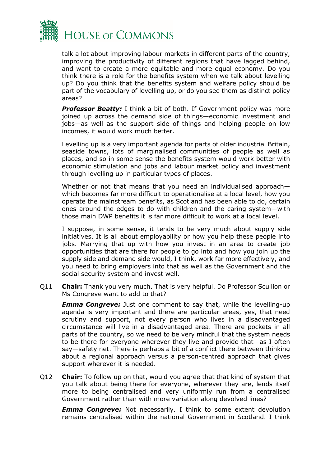

talk a lot about improving labour markets in different parts of the country, improving the productivity of different regions that have lagged behind, and want to create a more equitable and more equal economy. Do you think there is a role for the benefits system when we talk about levelling up? Do you think that the benefits system and welfare policy should be part of the vocabulary of levelling up, or do you see them as distinct policy areas?

**Professor Beatty:** I think a bit of both. If Government policy was more joined up across the demand side of things—economic investment and jobs—as well as the support side of things and helping people on low incomes, it would work much better.

Levelling up is a very important agenda for parts of older industrial Britain, seaside towns, lots of marginalised communities of people as well as places, and so in some sense the benefits system would work better with economic stimulation and jobs and labour market policy and investment through levelling up in particular types of places.

Whether or not that means that you need an individualised approach which becomes far more difficult to operationalise at a local level, how you operate the mainstream benefits, as Scotland has been able to do, certain ones around the edges to do with children and the caring system—with those main DWP benefits it is far more difficult to work at a local level.

I suppose, in some sense, it tends to be very much about supply side initiatives. It is all about employability or how you help these people into jobs. Marrying that up with how you invest in an area to create job opportunities that are there for people to go into and how you join up the supply side and demand side would, I think, work far more effectively, and you need to bring employers into that as well as the Government and the social security system and invest well.

Q11 **Chair:** Thank you very much. That is very helpful. Do Professor Scullion or Ms Congreve want to add to that?

*Emma Congreve:* Just one comment to say that, while the levelling-up agenda is very important and there are particular areas, yes, that need scrutiny and support, not every person who lives in a disadvantaged circumstance will live in a disadvantaged area. There are pockets in all parts of the country, so we need to be very mindful that the system needs to be there for everyone wherever they live and provide that—as I often say—safety net. There is perhaps a bit of a conflict there between thinking about a regional approach versus a person-centred approach that gives support wherever it is needed.

Q12 **Chair:** To follow up on that, would you agree that that kind of system that you talk about being there for everyone, wherever they are, lends itself more to being centralised and very uniformly run from a centralised Government rather than with more variation along devolved lines?

*Emma Congreve:* Not necessarily. I think to some extent devolution remains centralised within the national Government in Scotland. I think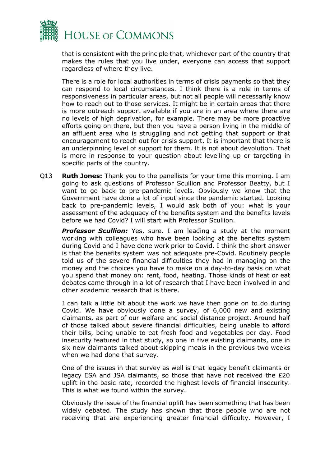

that is consistent with the principle that, whichever part of the country that makes the rules that you live under, everyone can access that support regardless of where they live.

There is a role for local authorities in terms of crisis payments so that they can respond to local circumstances. I think there is a role in terms of responsiveness in particular areas, but not all people will necessarily know how to reach out to those services. It might be in certain areas that there is more outreach support available if you are in an area where there are no levels of high deprivation, for example. There may be more proactive efforts going on there, but then you have a person living in the middle of an affluent area who is struggling and not getting that support or that encouragement to reach out for crisis support. It is important that there is an underpinning level of support for them. It is not about devolution. That is more in response to your question about levelling up or targeting in specific parts of the country.

Q13 **Ruth Jones:** Thank you to the panellists for your time this morning. I am going to ask questions of Professor Scullion and Professor Beatty, but I want to go back to pre-pandemic levels. Obviously we know that the Government have done a lot of input since the pandemic started. Looking back to pre-pandemic levels, I would ask both of you: what is your assessment of the adequacy of the benefits system and the benefits levels before we had Covid? I will start with Professor Scullion.

*Professor Scullion:* Yes, sure. I am leading a study at the moment working with colleagues who have been looking at the benefits system during Covid and I have done work prior to Covid. I think the short answer is that the benefits system was not adequate pre-Covid. Routinely people told us of the severe financial difficulties they had in managing on the money and the choices you have to make on a day-to-day basis on what you spend that money on: rent, food, heating. Those kinds of heat or eat debates came through in a lot of research that I have been involved in and other academic research that is there.

I can talk a little bit about the work we have then gone on to do during Covid. We have obviously done a survey, of 6,000 new and existing claimants, as part of our welfare and social distance project. Around half of those talked about severe financial difficulties, being unable to afford their bills, being unable to eat fresh food and vegetables per day. Food insecurity featured in that study, so one in five existing claimants, one in six new claimants talked about skipping meals in the previous two weeks when we had done that survey.

One of the issues in that survey as well is that legacy benefit claimants or legacy ESA and JSA claimants, so those that have not received the £20 uplift in the basic rate, recorded the highest levels of financial insecurity. This is what we found within the survey.

Obviously the issue of the financial uplift has been something that has been widely debated. The study has shown that those people who are not receiving that are experiencing greater financial difficulty. However, I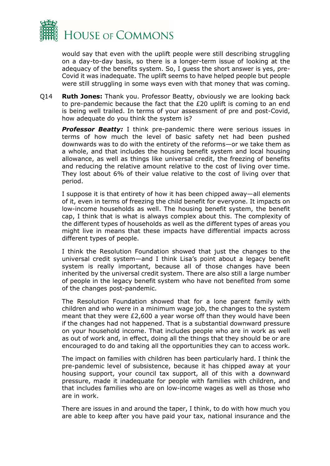

would say that even with the uplift people were still describing struggling on a day-to-day basis, so there is a longer-term issue of looking at the adequacy of the benefits system. So, I guess the short answer is yes, pre-Covid it was inadequate. The uplift seems to have helped people but people were still struggling in some ways even with that money that was coming.

Q14 **Ruth Jones:** Thank you. Professor Beatty, obviously we are looking back to pre-pandemic because the fact that the £20 uplift is coming to an end is being well trailed. In terms of your assessment of pre and post-Covid, how adequate do you think the system is?

**Professor Beatty:** I think pre-pandemic there were serious issues in terms of how much the level of basic safety net had been pushed downwards was to do with the entirety of the reforms—or we take them as a whole, and that includes the housing benefit system and local housing allowance, as well as things like universal credit, the freezing of benefits and reducing the relative amount relative to the cost of living over time. They lost about 6% of their value relative to the cost of living over that period.

I suppose it is that entirety of how it has been chipped away—all elements of it, even in terms of freezing the child benefit for everyone. It impacts on low-income households as well. The housing benefit system, the benefit cap, I think that is what is always complex about this. The complexity of the different types of households as well as the different types of areas you might live in means that these impacts have differential impacts across different types of people.

I think the Resolution Foundation showed that just the changes to the universal credit system—and I think Lisa's point about a legacy benefit system is really important, because all of those changes have been inherited by the universal credit system. There are also still a large number of people in the legacy benefit system who have not benefited from some of the changes post-pandemic.

The Resolution Foundation showed that for a lone parent family with children and who were in a minimum wage job, the changes to the system meant that they were £2,600 a year worse off than they would have been if the changes had not happened. That is a substantial downward pressure on your household income. That includes people who are in work as well as out of work and, in effect, doing all the things that they should be or are encouraged to do and taking all the opportunities they can to access work.

The impact on families with children has been particularly hard. I think the pre-pandemic level of subsistence, because it has chipped away at your housing support, your council tax support, all of this with a downward pressure, made it inadequate for people with families with children, and that includes families who are on low-income wages as well as those who are in work.

There are issues in and around the taper, I think, to do with how much you are able to keep after you have paid your tax, national insurance and the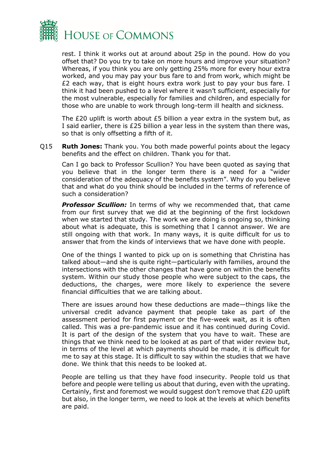

rest. I think it works out at around about 25p in the pound. How do you offset that? Do you try to take on more hours and improve your situation? Whereas, if you think you are only getting 25% more for every hour extra worked, and you may pay your bus fare to and from work, which might be £2 each way, that is eight hours extra work just to pay your bus fare. I think it had been pushed to a level where it wasn't sufficient, especially for the most vulnerable, especially for families and children, and especially for those who are unable to work through long-term ill health and sickness.

The £20 uplift is worth about £5 billion a year extra in the system but, as I said earlier, there is £25 billion a year less in the system than there was, so that is only offsetting a fifth of it.

Q15 **Ruth Jones:** Thank you. You both made powerful points about the legacy benefits and the effect on children. Thank you for that.

Can I go back to Professor Scullion? You have been quoted as saying that you believe that in the longer term there is a need for a "wider consideration of the adequacy of the benefits system". Why do you believe that and what do you think should be included in the terms of reference of such a consideration?

*Professor Scullion:* In terms of why we recommended that, that came from our first survey that we did at the beginning of the first lockdown when we started that study. The work we are doing is ongoing so, thinking about what is adequate, this is something that I cannot answer. We are still ongoing with that work. In many ways, it is quite difficult for us to answer that from the kinds of interviews that we have done with people.

One of the things I wanted to pick up on is something that Christina has talked about—and she is quite right—particularly with families, around the intersections with the other changes that have gone on within the benefits system. Within our study those people who were subject to the caps, the deductions, the charges, were more likely to experience the severe financial difficulties that we are talking about.

There are issues around how these deductions are made—things like the universal credit advance payment that people take as part of the assessment period for first payment or the five-week wait, as it is often called. This was a pre-pandemic issue and it has continued during Covid. It is part of the design of the system that you have to wait. These are things that we think need to be looked at as part of that wider review but, in terms of the level at which payments should be made, it is difficult for me to say at this stage. It is difficult to say within the studies that we have done. We think that this needs to be looked at.

People are telling us that they have food insecurity. People told us that before and people were telling us about that during, even with the uprating. Certainly, first and foremost we would suggest don't remove that £20 uplift but also, in the longer term, we need to look at the levels at which benefits are paid.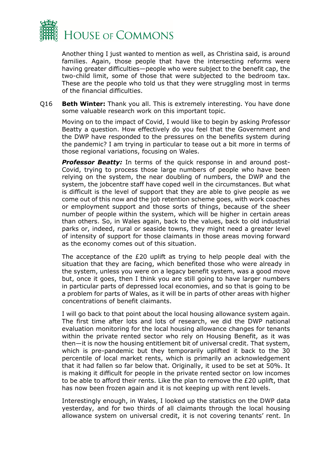

Another thing I just wanted to mention as well, as Christina said, is around families. Again, those people that have the intersecting reforms were having greater difficulties—people who were subject to the benefit cap, the two-child limit, some of those that were subjected to the bedroom tax. These are the people who told us that they were struggling most in terms of the financial difficulties.

Q16 **Beth Winter:** Thank you all. This is extremely interesting. You have done some valuable research work on this important topic.

Moving on to the impact of Covid, I would like to begin by asking Professor Beatty a question. How effectively do you feel that the Government and the DWP have responded to the pressures on the benefits system during the pandemic? I am trying in particular to tease out a bit more in terms of those regional variations, focusing on Wales.

*Professor Beatty:* In terms of the quick response in and around post-Covid, trying to process those large numbers of people who have been relying on the system, the near doubling of numbers, the DWP and the system, the jobcentre staff have coped well in the circumstances. But what is difficult is the level of support that they are able to give people as we come out of this now and the job retention scheme goes, with work coaches or employment support and those sorts of things, because of the sheer number of people within the system, which will be higher in certain areas than others. So, in Wales again, back to the values, back to old industrial parks or, indeed, rural or seaside towns, they might need a greater level of intensity of support for those claimants in those areas moving forward as the economy comes out of this situation.

The acceptance of the £20 uplift as trying to help people deal with the situation that they are facing, which benefited those who were already in the system, unless you were on a legacy benefit system, was a good move but, once it goes, then I think you are still going to have larger numbers in particular parts of depressed local economies, and so that is going to be a problem for parts of Wales, as it will be in parts of other areas with higher concentrations of benefit claimants.

I will go back to that point about the local housing allowance system again. The first time after lots and lots of research, we did the DWP national evaluation monitoring for the local housing allowance changes for tenants within the private rented sector who rely on Housing Benefit, as it was then—it is now the housing entitlement bit of universal credit. That system, which is pre-pandemic but they temporarily uplifted it back to the 30 percentile of local market rents, which is primarily an acknowledgement that it had fallen so far below that. Originally, it used to be set at 50%. It is making it difficult for people in the private rented sector on low incomes to be able to afford their rents. Like the plan to remove the £20 uplift, that has now been frozen again and it is not keeping up with rent levels.

Interestingly enough, in Wales, I looked up the statistics on the DWP data yesterday, and for two thirds of all claimants through the local housing allowance system on universal credit, it is not covering tenants' rent. In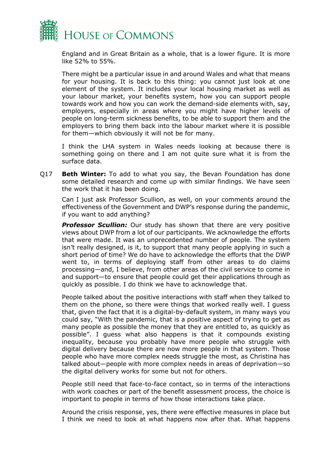

England and in Great Britain as a whole, that is a lower figure. It is more like 52% to 55%.

There might be a particular issue in and around Wales and what that means for your housing. It is back to this thing: you cannot just look at one element of the system. It includes your local housing market as well as your labour market, your benefits system, how you can support people towards work and how you can work the demand-side elements with, say, employers, especially in areas where you might have higher levels of people on long-term sickness benefits, to be able to support them and the employers to bring them back into the labour market where it is possible for them—which obviously it will not be for many.

I think the LHA system in Wales needs looking at because there is something going on there and I am not quite sure what it is from the surface data.

Q17 **Beth Winter:** To add to what you say, the Bevan Foundation has done some detailed research and come up with similar findings. We have seen the work that it has been doing.

Can I just ask Professor Scullion, as well, on your comments around the effectiveness of the Government and DWP's response during the pandemic, if you want to add anything?

**Professor Scullion:** Our study has shown that there are very positive views about DWP from a lot of our participants. We acknowledge the efforts that were made. It was an unprecedented number of people. The system isn't really designed, is it, to support that many people applying in such a short period of time? We do have to acknowledge the efforts that the DWP went to, in terms of deploying staff from other areas to do claims processing—and, I believe, from other areas of the civil service to come in and support—to ensure that people could get their applications through as quickly as possible. I do think we have to acknowledge that.

People talked about the positive interactions with staff when they talked to them on the phone, so there were things that worked really well. I guess that, given the fact that it is a digital-by-default system, in many ways you could say, "With the pandemic, that is a positive aspect of trying to get as many people as possible the money that they are entitled to, as quickly as possible". I guess what also happens is that it compounds existing inequality, because you probably have more people who struggle with digital delivery because there are now more people in that system. Those people who have more complex needs struggle the most, as Christina has talked about—people with more complex needs in areas of deprivation—so the digital delivery works for some but not for others.

People still need that face-to-face contact, so in terms of the interactions with work coaches or part of the benefit assessment process, the choice is important to people in terms of how those interactions take place.

Around the crisis response, yes, there were effective measures in place but I think we need to look at what happens now after that. What happens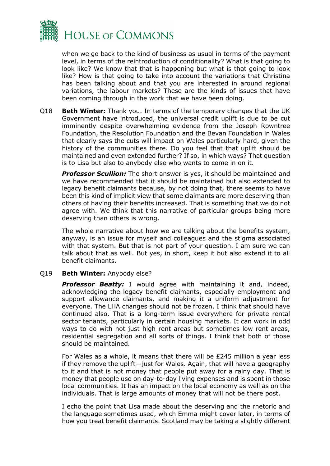

when we go back to the kind of business as usual in terms of the payment level, in terms of the reintroduction of conditionality? What is that going to look like? We know that that is happening but what is that going to look like? How is that going to take into account the variations that Christina has been talking about and that you are interested in around regional variations, the labour markets? These are the kinds of issues that have been coming through in the work that we have been doing.

Q18 **Beth Winter:** Thank you. In terms of the temporary changes that the UK Government have introduced, the universal credit uplift is due to be cut imminently despite overwhelming evidence from the Joseph Rowntree Foundation, the Resolution Foundation and the Bevan Foundation in Wales that clearly says the cuts will impact on Wales particularly hard, given the history of the communities there. Do you feel that that uplift should be maintained and even extended further? If so, in which ways? That question is to Lisa but also to anybody else who wants to come in on it.

*Professor Scullion:* The short answer is yes, it should be maintained and we have recommended that it should be maintained but also extended to legacy benefit claimants because, by not doing that, there seems to have been this kind of implicit view that some claimants are more deserving than others of having their benefits increased. That is something that we do not agree with. We think that this narrative of particular groups being more deserving than others is wrong.

The whole narrative about how we are talking about the benefits system, anyway, is an issue for myself and colleagues and the stigma associated with that system. But that is not part of your question. I am sure we can talk about that as well. But yes, in short, keep it but also extend it to all benefit claimants.

#### Q19 **Beth Winter:** Anybody else?

*Professor Beatty:* I would agree with maintaining it and, indeed, acknowledging the legacy benefit claimants, especially employment and support allowance claimants, and making it a uniform adjustment for everyone. The LHA changes should not be frozen. I think that should have continued also. That is a long-term issue everywhere for private rental sector tenants, particularly in certain housing markets. It can work in odd ways to do with not just high rent areas but sometimes low rent areas, residential segregation and all sorts of things. I think that both of those should be maintained.

For Wales as a whole, it means that there will be £245 million a year less if they remove the uplift—just for Wales. Again, that will have a geography to it and that is not money that people put away for a rainy day. That is money that people use on day-to-day living expenses and is spent in those local communities. It has an impact on the local economy as well as on the individuals. That is large amounts of money that will not be there post.

I echo the point that Lisa made about the deserving and the rhetoric and the language sometimes used, which Emma might cover later, in terms of how you treat benefit claimants. Scotland may be taking a slightly different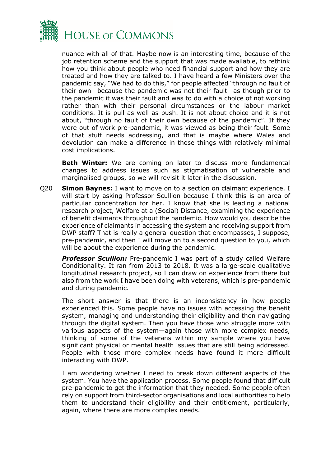

nuance with all of that. Maybe now is an interesting time, because of the job retention scheme and the support that was made available, to rethink how you think about people who need financial support and how they are treated and how they are talked to. I have heard a few Ministers over the pandemic say, "We had to do this," for people affected "through no fault of their own—because the pandemic was not their fault—as though prior to the pandemic it was their fault and was to do with a choice of not working rather than with their personal circumstances or the labour market conditions. It is pull as well as push. It is not about choice and it is not about, "through no fault of their own because of the pandemic". If they were out of work pre-pandemic, it was viewed as being their fault. Some of that stuff needs addressing, and that is maybe where Wales and devolution can make a difference in those things with relatively minimal cost implications.

**Beth Winter:** We are coming on later to discuss more fundamental changes to address issues such as stigmatisation of vulnerable and marginalised groups, so we will revisit it later in the discussion.

Q20 **Simon Baynes:** I want to move on to a section on claimant experience. I will start by asking Professor Scullion because I think this is an area of particular concentration for her. I know that she is leading a national research project, Welfare at a (Social) Distance, examining the experience of benefit claimants throughout the pandemic. How would you describe the experience of claimants in accessing the system and receiving support from DWP staff? That is really a general question that encompasses, I suppose, pre-pandemic, and then I will move on to a second question to you, which will be about the experience during the pandemic.

**Professor Scullion:** Pre-pandemic I was part of a study called Welfare Conditionality. It ran from 2013 to 2018. It was a large-scale qualitative longitudinal research project, so I can draw on experience from there but also from the work I have been doing with veterans, which is pre-pandemic and during pandemic.

The short answer is that there is an inconsistency in how people experienced this. Some people have no issues with accessing the benefit system, managing and understanding their eligibility and then navigating through the digital system. Then you have those who struggle more with various aspects of the system—again those with more complex needs, thinking of some of the veterans within my sample where you have significant physical or mental health issues that are still being addressed. People with those more complex needs have found it more difficult interacting with DWP.

I am wondering whether I need to break down different aspects of the system. You have the application process. Some people found that difficult pre-pandemic to get the information that they needed. Some people often rely on support from third-sector organisations and local authorities to help them to understand their eligibility and their entitlement, particularly, again, where there are more complex needs.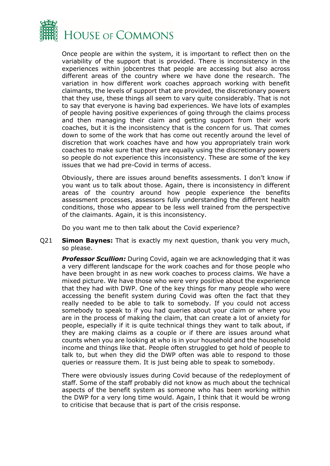

Once people are within the system, it is important to reflect then on the variability of the support that is provided. There is inconsistency in the experiences within jobcentres that people are accessing but also across different areas of the country where we have done the research. The variation in how different work coaches approach working with benefit claimants, the levels of support that are provided, the discretionary powers that they use, these things all seem to vary quite considerably. That is not to say that everyone is having bad experiences. We have lots of examples of people having positive experiences of going through the claims process and then managing their claim and getting support from their work coaches, but it is the inconsistency that is the concern for us. That comes down to some of the work that has come out recently around the level of discretion that work coaches have and how you appropriately train work coaches to make sure that they are equally using the discretionary powers so people do not experience this inconsistency. These are some of the key issues that we had pre-Covid in terms of access.

Obviously, there are issues around benefits assessments. I don't know if you want us to talk about those. Again, there is inconsistency in different areas of the country around how people experience the benefits assessment processes, assessors fully understanding the different health conditions, those who appear to be less well trained from the perspective of the claimants. Again, it is this inconsistency.

Do you want me to then talk about the Covid experience?

Q21 **Simon Baynes:** That is exactly my next question, thank you very much, so please.

*Professor Scullion:* During Covid, again we are acknowledging that it was a very different landscape for the work coaches and for those people who have been brought in as new work coaches to process claims. We have a mixed picture. We have those who were very positive about the experience that they had with DWP. One of the key things for many people who were accessing the benefit system during Covid was often the fact that they really needed to be able to talk to somebody. If you could not access somebody to speak to if you had queries about your claim or where you are in the process of making the claim, that can create a lot of anxiety for people, especially if it is quite technical things they want to talk about, if they are making claims as a couple or if there are issues around what counts when you are looking at who is in your household and the household income and things like that. People often struggled to get hold of people to talk to, but when they did the DWP often was able to respond to those queries or reassure them. It is just being able to speak to somebody.

There were obviously issues during Covid because of the redeployment of staff. Some of the staff probably did not know as much about the technical aspects of the benefit system as someone who has been working within the DWP for a very long time would. Again, I think that it would be wrong to criticise that because that is part of the crisis response.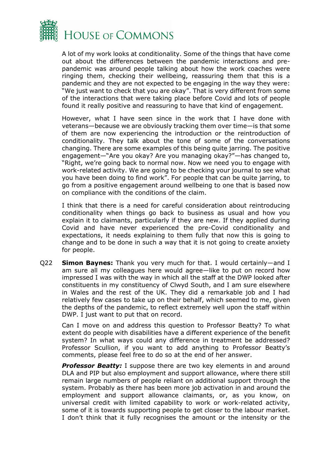

A lot of my work looks at conditionality. Some of the things that have come out about the differences between the pandemic interactions and prepandemic was around people talking about how the work coaches were ringing them, checking their wellbeing, reassuring them that this is a pandemic and they are not expected to be engaging in the way they were: "We just want to check that you are okay". That is very different from some of the interactions that were taking place before Covid and lots of people found it really positive and reassuring to have that kind of engagement.

However, what I have seen since in the work that I have done with veterans—because we are obviously tracking them over time—is that some of them are now experiencing the introduction or the reintroduction of conditionality. They talk about the tone of some of the conversations changing. There are some examples of this being quite jarring. The positive engagement—"Are you okay? Are you managing okay?"—has changed to, "Right, we're going back to normal now. Now we need you to engage with work-related activity. We are going to be checking your journal to see what you have been doing to find work". For people that can be quite jarring, to go from a positive engagement around wellbeing to one that is based now on compliance with the conditions of the claim.

I think that there is a need for careful consideration about reintroducing conditionality when things go back to business as usual and how you explain it to claimants, particularly if they are new. If they applied during Covid and have never experienced the pre-Covid conditionality and expectations, it needs explaining to them fully that now this is going to change and to be done in such a way that it is not going to create anxiety for people.

Q22 **Simon Baynes:** Thank you very much for that. I would certainly—and I am sure all my colleagues here would agree—like to put on record how impressed I was with the way in which all the staff at the DWP looked after constituents in my constituency of Clwyd South, and I am sure elsewhere in Wales and the rest of the UK. They did a remarkable job and I had relatively few cases to take up on their behalf, which seemed to me, given the depths of the pandemic, to reflect extremely well upon the staff within DWP. I just want to put that on record.

Can I move on and address this question to Professor Beatty? To what extent do people with disabilities have a different experience of the benefit system? In what ways could any difference in treatment be addressed? Professor Scullion, if you want to add anything to Professor Beatty's comments, please feel free to do so at the end of her answer.

**Professor Beatty:** I suppose there are two key elements in and around DLA and PIP but also employment and support allowance, where there still remain large numbers of people reliant on additional support through the system. Probably as there has been more job activation in and around the employment and support allowance claimants, or, as you know, on universal credit with limited capability to work or work-related activity, some of it is towards supporting people to get closer to the labour market. I don't think that it fully recognises the amount or the intensity or the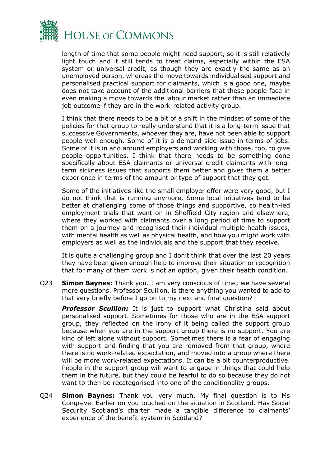

length of time that some people might need support, so it is still relatively light touch and it still tends to treat claims, especially within the ESA system or universal credit, as though they are exactly the same as an unemployed person, whereas the move towards individualised support and personalised practical support for claimants, which is a good one, maybe does not take account of the additional barriers that these people face in even making a move towards the labour market rather than an immediate job outcome if they are in the work-related activity group.

I think that there needs to be a bit of a shift in the mindset of some of the policies for that group to really understand that it is a long-term issue that successive Governments, whoever they are, have not been able to support people well enough. Some of it is a demand-side issue in terms of jobs. Some of it is in and around employers and working with those, too, to give people opportunities. I think that there needs to be something done specifically about ESA claimants or universal credit claimants with longterm sickness issues that supports them better and gives them a better experience in terms of the amount or type of support that they get.

Some of the initiatives like the small employer offer were very good, but I do not think that is running anymore. Some local initiatives tend to be better at challenging some of those things and supportive, so health-led employment trials that went on in Sheffield City region and elsewhere, where they worked with claimants over a long period of time to support them on a journey and recognised their individual multiple health issues, with mental health as well as physical health, and how you might work with employers as well as the individuals and the support that they receive.

It is quite a challenging group and I don't think that over the last 20 years they have been given enough help to improve their situation or recognition that for many of them work is not an option, given their health condition.

Q23 **Simon Baynes:** Thank you. I am very conscious of time; we have several more questions. Professor Scullion, is there anything you wanted to add to that very briefly before I go on to my next and final question?

**Professor Scullion:** It is just to support what Christina said about personalised support. Sometimes for those who are in the ESA support group, they reflected on the irony of it being called the support group because when you are in the support group there is no support. You are kind of left alone without support. Sometimes there is a fear of engaging with support and finding that you are removed from that group, where there is no work-related expectation, and moved into a group where there will be more work-related expectations. It can be a bit counterproductive. People in the support group will want to engage in things that could help them in the future, but they could be fearful to do so because they do not want to then be recategorised into one of the conditionality groups.

Q24 **Simon Baynes:** Thank you very much. My final question is to Ms Congreve. Earlier on you touched on the situation in Scotland. Has Social Security Scotland's charter made a tangible difference to claimants' experience of the benefit system in Scotland?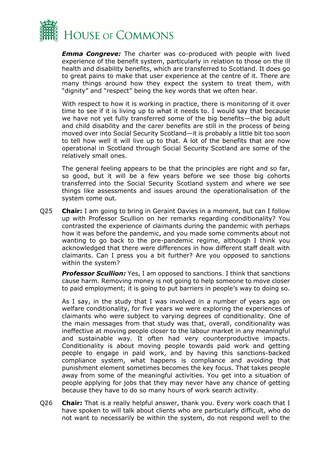

*Emma Congreve:* The charter was co-produced with people with lived experience of the benefit system, particularly in relation to those on the ill health and disability benefits, which are transferred to Scotland. It does go to great pains to make that user experience at the centre of it. There are many things around how they expect the system to treat them, with "dignity" and "respect" being the key words that we often hear.

With respect to how it is working in practice, there is monitoring of it over time to see if it is living up to what it needs to. I would say that because we have not yet fully transferred some of the big benefits—the big adult and child disability and the carer benefits are still in the process of being moved over into Social Security Scotland—it is probably a little bit too soon to tell how well it will live up to that. A lot of the benefits that are now operational in Scotland through Social Security Scotland are some of the relatively small ones.

The general feeling appears to be that the principles are right and so far, so good, but it will be a few years before we see those big cohorts transferred into the Social Security Scotland system and where we see things like assessments and issues around the operationalisation of the system come out.

Q25 **Chair:** I am going to bring in Geraint Davies in a moment, but can I follow up with Professor Scullion on her remarks regarding conditionality? You contrasted the experience of claimants during the pandemic with perhaps how it was before the pandemic, and you made some comments about not wanting to go back to the pre-pandemic regime, although I think you acknowledged that there were differences in how different staff dealt with claimants. Can I press you a bit further? Are you opposed to sanctions within the system?

**Professor Scullion:** Yes, I am opposed to sanctions. I think that sanctions cause harm. Removing money is not going to help someone to move closer to paid employment; it is going to put barriers in people's way to doing so.

As I say, in the study that I was involved in a number of years ago on welfare conditionality, for five years we were exploring the experiences of claimants who were subject to varying degrees of conditionality. One of the main messages from that study was that, overall, conditionality was ineffective at moving people closer to the labour market in any meaningful and sustainable way. It often had very counterproductive impacts. Conditionality is about moving people towards paid work and getting people to engage in paid work, and by having this sanctions-backed compliance system, what happens is compliance and avoiding that punishment element sometimes becomes the key focus. That takes people away from some of the meaningful activities. You get into a situation of people applying for jobs that they may never have any chance of getting because they have to do so many hours of work search activity.

Q26 **Chair:** That is a really helpful answer, thank you. Every work coach that I have spoken to will talk about clients who are particularly difficult, who do not want to necessarily be within the system, do not respond well to the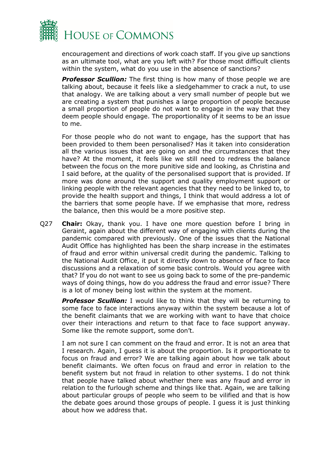

encouragement and directions of work coach staff. If you give up sanctions as an ultimate tool, what are you left with? For those most difficult clients within the system, what do you use in the absence of sanctions?

**Professor Scullion:** The first thing is how many of those people we are talking about, because it feels like a sledgehammer to crack a nut, to use that analogy. We are talking about a very small number of people but we are creating a system that punishes a large proportion of people because a small proportion of people do not want to engage in the way that they deem people should engage. The proportionality of it seems to be an issue to me.

For those people who do not want to engage, has the support that has been provided to them been personalised? Has it taken into consideration all the various issues that are going on and the circumstances that they have? At the moment, it feels like we still need to redress the balance between the focus on the more punitive side and looking, as Christina and I said before, at the quality of the personalised support that is provided. If more was done around the support and quality employment support or linking people with the relevant agencies that they need to be linked to, to provide the health support and things, I think that would address a lot of the barriers that some people have. If we emphasise that more, redress the balance, then this would be a more positive step.

Q27 **Chair:** Okay, thank you. I have one more question before I bring in Geraint, again about the different way of engaging with clients during the pandemic compared with previously. One of the issues that the National Audit Office has highlighted has been the sharp increase in the estimates of fraud and error within universal credit during the pandemic. Talking to the National Audit Office, it put it directly down to absence of face to face discussions and a relaxation of some basic controls. Would you agree with that? If you do not want to see us going back to some of the pre-pandemic ways of doing things, how do you address the fraud and error issue? There is a lot of money being lost within the system at the moment.

*Professor Scullion:* I would like to think that they will be returning to some face to face interactions anyway within the system because a lot of the benefit claimants that we are working with want to have that choice over their interactions and return to that face to face support anyway. Some like the remote support, some don't.

I am not sure I can comment on the fraud and error. It is not an area that I research. Again, I guess it is about the proportion. Is it proportionate to focus on fraud and error? We are talking again about how we talk about benefit claimants. We often focus on fraud and error in relation to the benefit system but not fraud in relation to other systems. I do not think that people have talked about whether there was any fraud and error in relation to the furlough scheme and things like that. Again, we are talking about particular groups of people who seem to be vilified and that is how the debate goes around those groups of people. I guess it is just thinking about how we address that.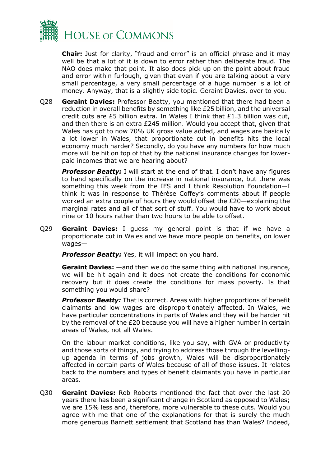

**Chair:** Just for clarity, "fraud and error" is an official phrase and it may well be that a lot of it is down to error rather than deliberate fraud. The NAO does make that point. It also does pick up on the point about fraud and error within furlough, given that even if you are talking about a very small percentage, a very small percentage of a huge number is a lot of money. Anyway, that is a slightly side topic. Geraint Davies, over to you.

Q28 **Geraint Davies:** Professor Beatty, you mentioned that there had been a reduction in overall benefits by something like £25 billion, and the universal credit cuts are £5 billion extra. In Wales I think that £1.3 billion was cut, and then there is an extra £245 million. Would you accept that, given that Wales has got to now 70% UK gross value added, and wages are basically a lot lower in Wales, that proportionate cut in benefits hits the local economy much harder? Secondly, do you have any numbers for how much more will be hit on top of that by the national insurance changes for lowerpaid incomes that we are hearing about?

**Professor Beatty:** I will start at the end of that. I don't have any figures to hand specifically on the increase in national insurance, but there was something this week from the IFS and I think Resolution Foundation—I think it was in response to Thérèse Coffey's comments about if people worked an extra couple of hours they would offset the £20—explaining the marginal rates and all of that sort of stuff. You would have to work about nine or 10 hours rather than two hours to be able to offset.

Q29 **Geraint Davies:** I guess my general point is that if we have a proportionate cut in Wales and we have more people on benefits, on lower wages—

**Professor Beatty:** Yes, it will impact on you hard.

**Geraint Davies:** —and then we do the same thing with national insurance, we will be hit again and it does not create the conditions for economic recovery but it does create the conditions for mass poverty. Is that something you would share?

*Professor Beatty:* That is correct. Areas with higher proportions of benefit claimants and low wages are disproportionately affected. In Wales, we have particular concentrations in parts of Wales and they will be harder hit by the removal of the £20 because you will have a higher number in certain areas of Wales, not all Wales.

On the labour market conditions, like you say, with GVA or productivity and those sorts of things, and trying to address those through the levellingup agenda in terms of jobs growth, Wales will be disproportionately affected in certain parts of Wales because of all of those issues. It relates back to the numbers and types of benefit claimants you have in particular areas.

Q30 **Geraint Davies:** Rob Roberts mentioned the fact that over the last 20 years there has been a significant change in Scotland as opposed to Wales; we are 15% less and, therefore, more vulnerable to these cuts. Would you agree with me that one of the explanations for that is surely the much more generous Barnett settlement that Scotland has than Wales? Indeed,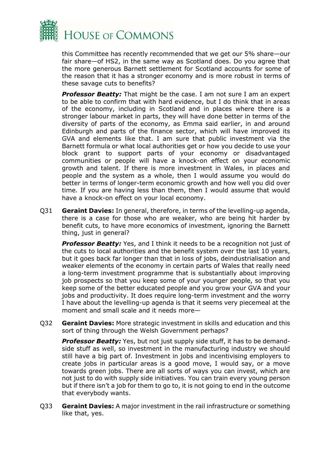

this Committee has recently recommended that we get our 5% share—our fair share—of HS2, in the same way as Scotland does. Do you agree that the more generous Barnett settlement for Scotland accounts for some of the reason that it has a stronger economy and is more robust in terms of these savage cuts to benefits?

**Professor Beatty:** That might be the case. I am not sure I am an expert to be able to confirm that with hard evidence, but I do think that in areas of the economy, including in Scotland and in places where there is a stronger labour market in parts, they will have done better in terms of the diversity of parts of the economy, as Emma said earlier, in and around Edinburgh and parts of the finance sector, which will have improved its GVA and elements like that. I am sure that public investment via the Barnett formula or what local authorities get or how you decide to use your block grant to support parts of your economy or disadvantaged communities or people will have a knock-on effect on your economic growth and talent. If there is more investment in Wales, in places and people and the system as a whole, then I would assume you would do better in terms of longer-term economic growth and how well you did over time. If you are having less than them, then I would assume that would have a knock-on effect on your local economy.

Q31 **Geraint Davies:** In general, therefore, in terms of the levelling-up agenda, there is a case for those who are weaker, who are being hit harder by benefit cuts, to have more economics of investment, ignoring the Barnett thing, just in general?

*Professor Beatty:* Yes, and I think it needs to be a recognition not just of the cuts to local authorities and the benefit system over the last 10 years, but it goes back far longer than that in loss of jobs, deindustrialisation and weaker elements of the economy in certain parts of Wales that really need a long-term investment programme that is substantially about improving job prospects so that you keep some of your younger people, so that you keep some of the better educated people and you grow your GVA and your jobs and productivity. It does require long-term investment and the worry I have about the levelling-up agenda is that it seems very piecemeal at the moment and small scale and it needs more—

Q32 **Geraint Davies:** More strategic investment in skills and education and this sort of thing through the Welsh Government perhaps?

**Professor Beatty:** Yes, but not just supply side stuff, it has to be demandside stuff as well, so investment in the manufacturing industry we should still have a big part of. Investment in jobs and incentivising employers to create jobs in particular areas is a good move, I would say, or a move towards green jobs. There are all sorts of ways you can invest, which are not just to do with supply side initiatives. You can train every young person but if there isn't a job for them to go to, it is not going to end in the outcome that everybody wants.

Q33 **Geraint Davies:** A major investment in the rail infrastructure or something like that, yes.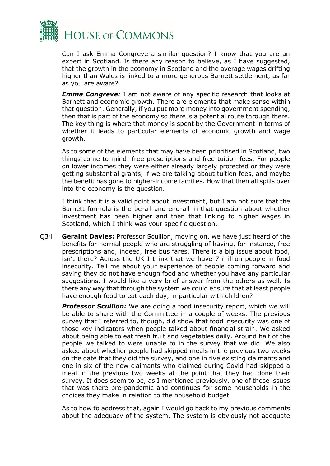

Can I ask Emma Congreve a similar question? I know that you are an expert in Scotland. Is there any reason to believe, as I have suggested, that the growth in the economy in Scotland and the average wages drifting higher than Wales is linked to a more generous Barnett settlement, as far as you are aware?

*Emma Congreve:* I am not aware of any specific research that looks at Barnett and economic growth. There are elements that make sense within that question. Generally, if you put more money into government spending, then that is part of the economy so there is a potential route through there. The key thing is where that money is spent by the Government in terms of whether it leads to particular elements of economic growth and wage growth.

As to some of the elements that may have been prioritised in Scotland, two things come to mind: free prescriptions and free tuition fees. For people on lower incomes they were either already largely protected or they were getting substantial grants, if we are talking about tuition fees, and maybe the benefit has gone to higher-income families. How that then all spills over into the economy is the question.

I think that it is a valid point about investment, but I am not sure that the Barnett formula is the be-all and end-all in that question about whether investment has been higher and then that linking to higher wages in Scotland, which I think was your specific question.

Q34 **Geraint Davies:** Professor Scullion, moving on, we have just heard of the benefits for normal people who are struggling of having, for instance, free prescriptions and, indeed, free bus fares. There is a big issue about food, isn't there? Across the UK I think that we have 7 million people in food insecurity. Tell me about your experience of people coming forward and saying they do not have enough food and whether you have any particular suggestions. I would like a very brief answer from the others as well. Is there any way that through the system we could ensure that at least people have enough food to eat each day, in particular with children?

*Professor Scullion:* We are doing a food insecurity report, which we will be able to share with the Committee in a couple of weeks. The previous survey that I referred to, though, did show that food insecurity was one of those key indicators when people talked about financial strain. We asked about being able to eat fresh fruit and vegetables daily. Around half of the people we talked to were unable to in the survey that we did. We also asked about whether people had skipped meals in the previous two weeks on the date that they did the survey, and one in five existing claimants and one in six of the new claimants who claimed during Covid had skipped a meal in the previous two weeks at the point that they had done their survey. It does seem to be, as I mentioned previously, one of those issues that was there pre-pandemic and continues for some households in the choices they make in relation to the household budget.

As to how to address that, again I would go back to my previous comments about the adequacy of the system. The system is obviously not adequate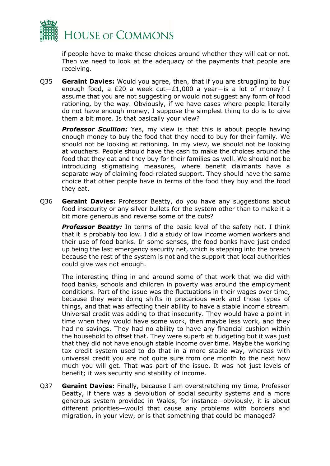

if people have to make these choices around whether they will eat or not. Then we need to look at the adequacy of the payments that people are receiving.

Q35 **Geraint Davies:** Would you agree, then, that if you are struggling to buy enough food, a £20 a week  $cut - £1,000$  a year-is a lot of money? I assume that you are not suggesting or would not suggest any form of food rationing, by the way. Obviously, if we have cases where people literally do not have enough money, I suppose the simplest thing to do is to give them a bit more. Is that basically your view?

**Professor Scullion:** Yes, my view is that this is about people having enough money to buy the food that they need to buy for their family. We should not be looking at rationing. In my view, we should not be looking at vouchers. People should have the cash to make the choices around the food that they eat and they buy for their families as well. We should not be introducing stigmatising measures, where benefit claimants have a separate way of claiming food-related support. They should have the same choice that other people have in terms of the food they buy and the food they eat.

Q36 **Geraint Davies:** Professor Beatty, do you have any suggestions about food insecurity or any silver bullets for the system other than to make it a bit more generous and reverse some of the cuts?

**Professor Beatty:** In terms of the basic level of the safety net, I think that it is probably too low. I did a study of low income women workers and their use of food banks. In some senses, the food banks have just ended up being the last emergency security net, which is stepping into the breach because the rest of the system is not and the support that local authorities could give was not enough.

The interesting thing in and around some of that work that we did with food banks, schools and children in poverty was around the employment conditions. Part of the issue was the fluctuations in their wages over time, because they were doing shifts in precarious work and those types of things, and that was affecting their ability to have a stable income stream. Universal credit was adding to that insecurity. They would have a point in time when they would have some work, then maybe less work, and they had no savings. They had no ability to have any financial cushion within the household to offset that. They were superb at budgeting but it was just that they did not have enough stable income over time. Maybe the working tax credit system used to do that in a more stable way, whereas with universal credit you are not quite sure from one month to the next how much you will get. That was part of the issue. It was not just levels of benefit; it was security and stability of income.

Q37 **Geraint Davies:** Finally, because I am overstretching my time, Professor Beatty, if there was a devolution of social security systems and a more generous system provided in Wales, for instance—obviously, it is about different priorities—would that cause any problems with borders and migration, in your view, or is that something that could be managed?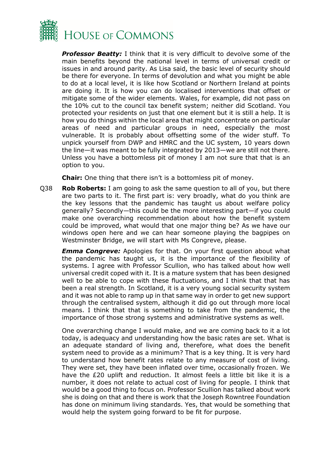

*Professor Beatty:* I think that it is very difficult to devolve some of the main benefits beyond the national level in terms of universal credit or issues in and around parity. As Lisa said, the basic level of security should be there for everyone. In terms of devolution and what you might be able to do at a local level, it is like how Scotland or Northern Ireland at points are doing it. It is how you can do localised interventions that offset or mitigate some of the wider elements. Wales, for example, did not pass on the 10% cut to the council tax benefit system; neither did Scotland. You protected your residents on just that one element but it is still a help. It is how you do things within the local area that might concentrate on particular areas of need and particular groups in need, especially the most vulnerable. It is probably about offsetting some of the wider stuff. To unpick yourself from DWP and HMRC and the UC system, 10 years down the line—it was meant to be fully integrated by 2013—we are still not there. Unless you have a bottomless pit of money I am not sure that that is an option to you.

**Chair:** One thing that there isn't is a bottomless pit of money.

Q38 **Rob Roberts:** I am going to ask the same question to all of you, but there are two parts to it. The first part is: very broadly, what do you think are the key lessons that the pandemic has taught us about welfare policy generally? Secondly—this could be the more interesting part—if you could make one overarching recommendation about how the benefit system could be improved, what would that one major thing be? As we have our windows open here and we can hear someone playing the bagpipes on Westminster Bridge, we will start with Ms Congreve, please.

*Emma Congreve:* Apologies for that. On your first question about what the pandemic has taught us, it is the importance of the flexibility of systems. I agree with Professor Scullion, who has talked about how well universal credit coped with it. It is a mature system that has been designed well to be able to cope with these fluctuations, and I think that that has been a real strength. In Scotland, it is a very young social security system and it was not able to ramp up in that same way in order to get new support through the centralised system, although it did go out through more local means. I think that that is something to take from the pandemic, the importance of those strong systems and administrative systems as well.

One overarching change I would make, and we are coming back to it a lot today, is adequacy and understanding how the basic rates are set. What is an adequate standard of living and, therefore, what does the benefit system need to provide as a minimum? That is a key thing. It is very hard to understand how benefit rates relate to any measure of cost of living. They were set, they have been inflated over time, occasionally frozen. We have the £20 uplift and reduction. It almost feels a little bit like it is a number, it does not relate to actual cost of living for people. I think that would be a good thing to focus on. Professor Scullion has talked about work she is doing on that and there is work that the Joseph Rowntree Foundation has done on minimum living standards. Yes, that would be something that would help the system going forward to be fit for purpose.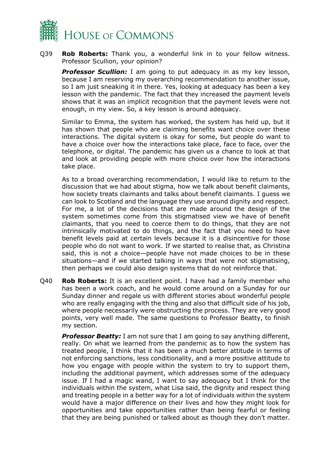

Q39 **Rob Roberts:** Thank you, a wonderful link in to your fellow witness. Professor Scullion, your opinion?

**Professor Scullion:** I am going to put adequacy in as my key lesson, because I am reserving my overarching recommendation to another issue, so I am just sneaking it in there. Yes, looking at adequacy has been a key lesson with the pandemic. The fact that they increased the payment levels shows that it was an implicit recognition that the payment levels were not enough, in my view. So, a key lesson is around adequacy.

Similar to Emma, the system has worked, the system has held up, but it has shown that people who are claiming benefits want choice over these interactions. The digital system is okay for some, but people do want to have a choice over how the interactions take place, face to face, over the telephone, or digital. The pandemic has given us a chance to look at that and look at providing people with more choice over how the interactions take place.

As to a broad overarching recommendation, I would like to return to the discussion that we had about stigma, how we talk about benefit claimants, how society treats claimants and talks about benefit claimants. I guess we can look to Scotland and the language they use around dignity and respect. For me, a lot of the decisions that are made around the design of the system sometimes come from this stigmatised view we have of benefit claimants, that you need to coerce them to do things, that they are not intrinsically motivated to do things, and the fact that you need to have benefit levels paid at certain levels because it is a disincentive for those people who do not want to work. If we started to realise that, as Christina said, this is not a choice—people have not made choices to be in these situations—and if we started talking in ways that were not stigmatising, then perhaps we could also design systems that do not reinforce that.

Q40 **Rob Roberts:** It is an excellent point. I have had a family member who has been a work coach, and he would come around on a Sunday for our Sunday dinner and regale us with different stories about wonderful people who are really engaging with the thing and also that difficult side of his job, where people necessarily were obstructing the process. They are very good points, very well made. The same questions to Professor Beatty, to finish my section.

**Professor Beatty:** I am not sure that I am going to say anything different, really. On what we learned from the pandemic as to how the system has treated people, I think that it has been a much better attitude in terms of not enforcing sanctions, less conditionality, and a more positive attitude to how you engage with people within the system to try to support them, including the additional payment, which addresses some of the adequacy issue. If I had a magic wand, I want to say adequacy but I think for the individuals within the system, what Lisa said, the dignity and respect thing and treating people in a better way for a lot of individuals within the system would have a major difference on their lives and how they might look for opportunities and take opportunities rather than being fearful or feeling that they are being punished or talked about as though they don't matter.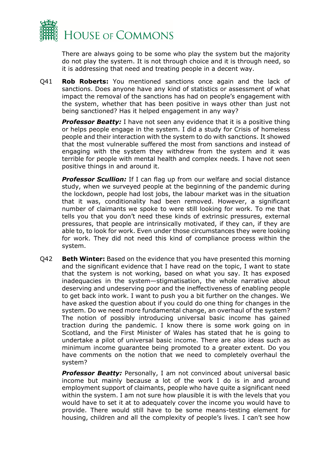

There are always going to be some who play the system but the majority do not play the system. It is not through choice and it is through need, so it is addressing that need and treating people in a decent way.

Q41 **Rob Roberts:** You mentioned sanctions once again and the lack of sanctions. Does anyone have any kind of statistics or assessment of what impact the removal of the sanctions has had on people's engagement with the system, whether that has been positive in ways other than just not being sanctioned? Has it helped engagement in any way?

**Professor Beatty:** I have not seen any evidence that it is a positive thing or helps people engage in the system. I did a study for Crisis of homeless people and their interaction with the system to do with sanctions. It showed that the most vulnerable suffered the most from sanctions and instead of engaging with the system they withdrew from the system and it was terrible for people with mental health and complex needs. I have not seen positive things in and around it.

**Professor Scullion:** If I can flag up from our welfare and social distance study, when we surveyed people at the beginning of the pandemic during the lockdown, people had lost jobs, the labour market was in the situation that it was, conditionality had been removed. However, a significant number of claimants we spoke to were still looking for work. To me that tells you that you don't need these kinds of extrinsic pressures, external pressures, that people are intrinsically motivated, if they can, if they are able to, to look for work. Even under those circumstances they were looking for work. They did not need this kind of compliance process within the system.

Q42 **Beth Winter:** Based on the evidence that you have presented this morning and the significant evidence that I have read on the topic, I want to state that the system is not working, based on what you say. It has exposed inadequacies in the system—stigmatisation, the whole narrative about deserving and undeserving poor and the ineffectiveness of enabling people to get back into work. I want to push you a bit further on the changes. We have asked the question about if you could do one thing for changes in the system. Do we need more fundamental change, an overhaul of the system? The notion of possibly introducing universal basic income has gained traction during the pandemic. I know there is some work going on in Scotland, and the First Minister of Wales has stated that he is going to undertake a pilot of universal basic income. There are also ideas such as minimum income guarantee being promoted to a greater extent. Do you have comments on the notion that we need to completely overhaul the system?

**Professor Beatty:** Personally, I am not convinced about universal basic income but mainly because a lot of the work I do is in and around employment support of claimants, people who have quite a significant need within the system. I am not sure how plausible it is with the levels that you would have to set it at to adequately cover the income you would have to provide. There would still have to be some means-testing element for housing, children and all the complexity of people's lives. I can't see how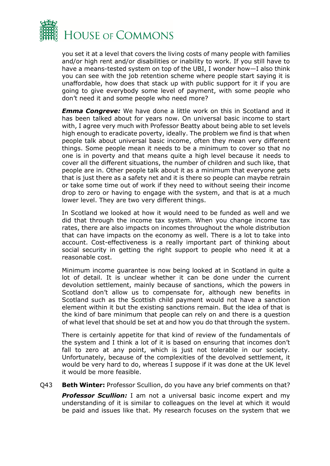

you set it at a level that covers the living costs of many people with families and/or high rent and/or disabilities or inability to work. If you still have to have a means-tested system on top of the UBI, I wonder how—I also think you can see with the job retention scheme where people start saying it is unaffordable, how does that stack up with public support for it if you are going to give everybody some level of payment, with some people who don't need it and some people who need more?

*Emma Congreve:* We have done a little work on this in Scotland and it has been talked about for years now. On universal basic income to start with, I agree very much with Professor Beatty about being able to set levels high enough to eradicate poverty, ideally. The problem we find is that when people talk about universal basic income, often they mean very different things. Some people mean it needs to be a minimum to cover so that no one is in poverty and that means quite a high level because it needs to cover all the different situations, the number of children and such like, that people are in. Other people talk about it as a minimum that everyone gets that is just there as a safety net and it is there so people can maybe retrain or take some time out of work if they need to without seeing their income drop to zero or having to engage with the system, and that is at a much lower level. They are two very different things.

In Scotland we looked at how it would need to be funded as well and we did that through the income tax system. When you change income tax rates, there are also impacts on incomes throughout the whole distribution that can have impacts on the economy as well. There is a lot to take into account. Cost-effectiveness is a really important part of thinking about social security in getting the right support to people who need it at a reasonable cost.

Minimum income guarantee is now being looked at in Scotland in quite a lot of detail. It is unclear whether it can be done under the current devolution settlement, mainly because of sanctions, which the powers in Scotland don't allow us to compensate for, although new benefits in Scotland such as the Scottish child payment would not have a sanction element within it but the existing sanctions remain. But the idea of that is the kind of bare minimum that people can rely on and there is a question of what level that should be set at and how you do that through the system.

There is certainly appetite for that kind of review of the fundamentals of the system and I think a lot of it is based on ensuring that incomes don't fall to zero at any point, which is just not tolerable in our society. Unfortunately, because of the complexities of the devolved settlement, it would be very hard to do, whereas I suppose if it was done at the UK level it would be more feasible.

Q43 **Beth Winter:** Professor Scullion, do you have any brief comments on that?

**Professor Scullion:** I am not a universal basic income expert and my understanding of it is similar to colleagues on the level at which it would be paid and issues like that. My research focuses on the system that we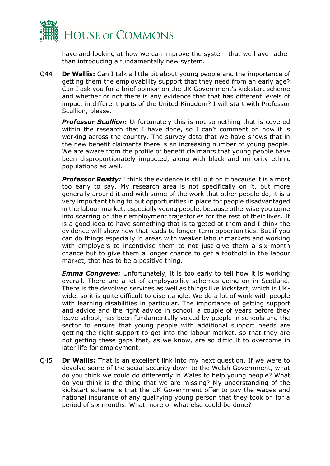

have and looking at how we can improve the system that we have rather than introducing a fundamentally new system.

Q44 **Dr Wallis:** Can I talk a little bit about young people and the importance of getting them the employability support that they need from an early age? Can I ask you for a brief opinion on the UK Government's kickstart scheme and whether or not there is any evidence that that has different levels of impact in different parts of the United Kingdom? I will start with Professor Scullion, please.

**Professor Scullion:** Unfortunately this is not something that is covered within the research that I have done, so I can't comment on how it is working across the country. The survey data that we have shows that in the new benefit claimants there is an increasing number of young people. We are aware from the profile of benefit claimants that young people have been disproportionately impacted, along with black and minority ethnic populations as well.

**Professor Beatty:** I think the evidence is still out on it because it is almost too early to say. My research area is not specifically on it, but more generally around it and with some of the work that other people do, it is a very important thing to put opportunities in place for people disadvantaged in the labour market, especially young people, because otherwise you come into scarring on their employment trajectories for the rest of their lives. It is a good idea to have something that is targeted at them and I think the evidence will show how that leads to longer-term opportunities. But if you can do things especially in areas with weaker labour markets and working with employers to incentivise them to not just give them a six-month chance but to give them a longer chance to get a foothold in the labour market, that has to be a positive thing.

*Emma Congreve:* Unfortunately, it is too early to tell how it is working overall. There are a lot of employability schemes going on in Scotland. There is the devolved services as well as things like kickstart, which is UKwide, so it is quite difficult to disentangle. We do a lot of work with people with learning disabilities in particular. The importance of getting support and advice and the right advice in school, a couple of years before they leave school, has been fundamentally voiced by people in schools and the sector to ensure that young people with additional support needs are getting the right support to get into the labour market, so that they are not getting these gaps that, as we know, are so difficult to overcome in later life for employment.

Q45 **Dr Wallis:** That is an excellent link into my next question. If we were to devolve some of the social security down to the Welsh Government, what do you think we could do differently in Wales to help young people? What do you think is the thing that we are missing? My understanding of the kickstart scheme is that the UK Government offer to pay the wages and national insurance of any qualifying young person that they took on for a period of six months. What more or what else could be done?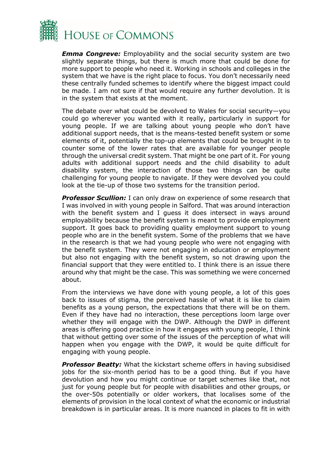

*Emma Congreve:* Employability and the social security system are two slightly separate things, but there is much more that could be done for more support to people who need it. Working in schools and colleges in the system that we have is the right place to focus. You don't necessarily need these centrally funded schemes to identify where the biggest impact could be made. I am not sure if that would require any further devolution. It is in the system that exists at the moment.

The debate over what could be devolved to Wales for social security—you could go wherever you wanted with it really, particularly in support for young people. If we are talking about young people who don't have additional support needs, that is the means-tested benefit system or some elements of it, potentially the top-up elements that could be brought in to counter some of the lower rates that are available for younger people through the universal credit system. That might be one part of it. For young adults with additional support needs and the child disability to adult disability system, the interaction of those two things can be quite challenging for young people to navigate. If they were devolved you could look at the tie-up of those two systems for the transition period.

*Professor Scullion:* I can only draw on experience of some research that I was involved in with young people in Salford. That was around interaction with the benefit system and I guess it does intersect in ways around employability because the benefit system is meant to provide employment support. It goes back to providing quality employment support to young people who are in the benefit system. Some of the problems that we have in the research is that we had young people who were not engaging with the benefit system. They were not engaging in education or employment but also not engaging with the benefit system, so not drawing upon the financial support that they were entitled to. I think there is an issue there around why that might be the case. This was something we were concerned about.

From the interviews we have done with young people, a lot of this goes back to issues of stigma, the perceived hassle of what it is like to claim benefits as a young person, the expectations that there will be on them. Even if they have had no interaction, these perceptions loom large over whether they will engage with the DWP. Although the DWP in different areas is offering good practice in how it engages with young people, I think that without getting over some of the issues of the perception of what will happen when you engage with the DWP, it would be quite difficult for engaging with young people.

*Professor Beatty:* What the kickstart scheme offers in having subsidised jobs for the six-month period has to be a good thing. But if you have devolution and how you might continue or target schemes like that, not just for young people but for people with disabilities and other groups, or the over-50s potentially or older workers, that localises some of the elements of provision in the local context of what the economic or industrial breakdown is in particular areas. It is more nuanced in places to fit in with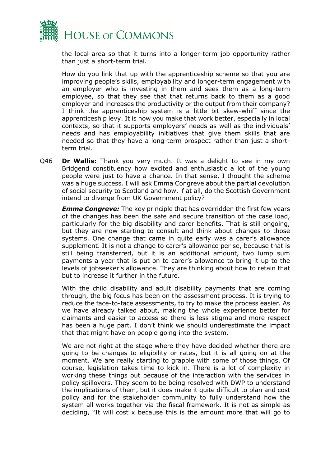

the local area so that it turns into a longer-term job opportunity rather than just a short-term trial.

How do you link that up with the apprenticeship scheme so that you are improving people's skills, employability and longer-term engagement with an employer who is investing in them and sees them as a long-term employee, so that they see that that returns back to them as a good employer and increases the productivity or the output from their company? I think the apprenticeship system is a little bit skew-whiff since the apprenticeship levy. It is how you make that work better, especially in local contexts, so that it supports employers' needs as well as the individuals' needs and has employability initiatives that give them skills that are needed so that they have a long-term prospect rather than just a shortterm trial.

Q46 **Dr Wallis:** Thank you very much. It was a delight to see in my own Bridgend constituency how excited and enthusiastic a lot of the young people were just to have a chance. In that sense, I thought the scheme was a huge success. I will ask Emma Congreve about the partial devolution of social security to Scotland and how, if at all, do the Scottish Government intend to diverge from UK Government policy?

*Emma Congreve:* The key principle that has overridden the first few years of the changes has been the safe and secure transition of the case load, particularly for the big disability and carer benefits. That is still ongoing, but they are now starting to consult and think about changes to those systems. One change that came in quite early was a carer's allowance supplement. It is not a change to carer's allowance per se, because that is still being transferred, but it is an additional amount, two lump sum payments a year that is put on to carer's allowance to bring it up to the levels of jobseeker's allowance. They are thinking about how to retain that but to increase it further in the future.

With the child disability and adult disability payments that are coming through, the big focus has been on the assessment process. It is trying to reduce the face-to-face assessments, to try to make the process easier. As we have already talked about, making the whole experience better for claimants and easier to access so there is less stigma and more respect has been a huge part. I don't think we should underestimate the impact that that might have on people going into the system.

We are not right at the stage where they have decided whether there are going to be changes to eligibility or rates, but it is all going on at the moment. We are really starting to grapple with some of those things. Of course, legislation takes time to kick in. There is a lot of complexity in working these things out because of the interaction with the services in policy spillovers. They seem to be being resolved with DWP to understand the implications of them, but it does make it quite difficult to plan and cost policy and for the stakeholder community to fully understand how the system all works together via the fiscal framework. It is not as simple as deciding, "It will cost x because this is the amount more that will go to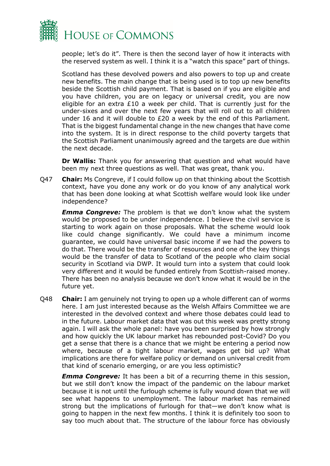

people; let's do it". There is then the second layer of how it interacts with the reserved system as well. I think it is a "watch this space" part of things.

Scotland has these devolved powers and also powers to top up and create new benefits. The main change that is being used is to top up new benefits beside the Scottish child payment. That is based on if you are eligible and you have children, you are on legacy or universal credit, you are now eligible for an extra  $£10$  a week per child. That is currently just for the under-sixes and over the next few years that will roll out to all children under 16 and it will double to £20 a week by the end of this Parliament. That is the biggest fundamental change in the new changes that have come into the system. It is in direct response to the child poverty targets that the Scottish Parliament unanimously agreed and the targets are due within the next decade.

**Dr Wallis:** Thank you for answering that question and what would have been my next three questions as well. That was great, thank you.

Q47 **Chair:** Ms Congreve, if I could follow up on that thinking about the Scottish context, have you done any work or do you know of any analytical work that has been done looking at what Scottish welfare would look like under independence?

*Emma Congreve:* The problem is that we don't know what the system would be proposed to be under independence. I believe the civil service is starting to work again on those proposals. What the scheme would look like could change significantly. We could have a minimum income guarantee, we could have universal basic income if we had the powers to do that. There would be the transfer of resources and one of the key things would be the transfer of data to Scotland of the people who claim social security in Scotland via DWP. It would turn into a system that could look very different and it would be funded entirely from Scottish-raised money. There has been no analysis because we don't know what it would be in the future yet.

Q48 **Chair:** I am genuinely not trying to open up a whole different can of worms here. I am just interested because as the Welsh Affairs Committee we are interested in the devolved context and where those debates could lead to in the future. Labour market data that was out this week was pretty strong again. I will ask the whole panel: have you been surprised by how strongly and how quickly the UK labour market has rebounded post-Covid? Do you get a sense that there is a chance that we might be entering a period now where, because of a tight labour market, wages get bid up? What implications are there for welfare policy or demand on universal credit from that kind of scenario emerging, or are you less optimistic?

*Emma Congreve:* It has been a bit of a recurring theme in this session, but we still don't know the impact of the pandemic on the labour market because it is not until the furlough scheme is fully wound down that we will see what happens to unemployment. The labour market has remained strong but the implications of furlough for that—we don't know what is going to happen in the next few months. I think it is definitely too soon to say too much about that. The structure of the labour force has obviously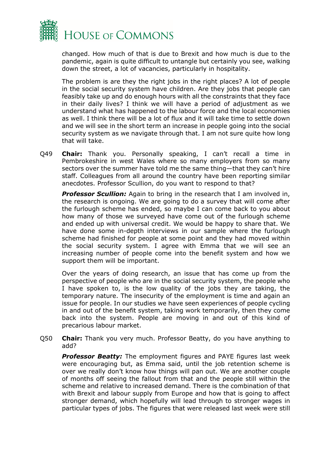

changed. How much of that is due to Brexit and how much is due to the pandemic, again is quite difficult to untangle but certainly you see, walking down the street, a lot of vacancies, particularly in hospitality.

The problem is are they the right jobs in the right places? A lot of people in the social security system have children. Are they jobs that people can feasibly take up and do enough hours with all the constraints that they face in their daily lives? I think we will have a period of adjustment as we understand what has happened to the labour force and the local economies as well. I think there will be a lot of flux and it will take time to settle down and we will see in the short term an increase in people going into the social security system as we navigate through that. I am not sure quite how long that will take.

Q49 **Chair:** Thank you. Personally speaking, I can't recall a time in Pembrokeshire in west Wales where so many employers from so many sectors over the summer have told me the same thing—that they can't hire staff. Colleagues from all around the country have been reporting similar anecdotes. Professor Scullion, do you want to respond to that?

*Professor Scullion:* Again to bring in the research that I am involved in, the research is ongoing. We are going to do a survey that will come after the furlough scheme has ended, so maybe I can come back to you about how many of those we surveyed have come out of the furlough scheme and ended up with universal credit. We would be happy to share that. We have done some in-depth interviews in our sample where the furlough scheme had finished for people at some point and they had moved within the social security system. I agree with Emma that we will see an increasing number of people come into the benefit system and how we support them will be important.

Over the years of doing research, an issue that has come up from the perspective of people who are in the social security system, the people who I have spoken to, is the low quality of the jobs they are taking, the temporary nature. The insecurity of the employment is time and again an issue for people. In our studies we have seen experiences of people cycling in and out of the benefit system, taking work temporarily, then they come back into the system. People are moving in and out of this kind of precarious labour market.

Q50 **Chair:** Thank you very much. Professor Beatty, do you have anything to add?

**Professor Beatty:** The employment figures and PAYE figures last week were encouraging but, as Emma said, until the job retention scheme is over we really don't know how things will pan out. We are another couple of months off seeing the fallout from that and the people still within the scheme and relative to increased demand. There is the combination of that with Brexit and labour supply from Europe and how that is going to affect stronger demand, which hopefully will lead through to stronger wages in particular types of jobs. The figures that were released last week were still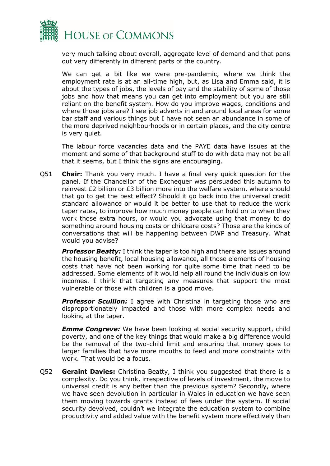

very much talking about overall, aggregate level of demand and that pans out very differently in different parts of the country.

We can get a bit like we were pre-pandemic, where we think the employment rate is at an all-time high, but, as Lisa and Emma said, it is about the types of jobs, the levels of pay and the stability of some of those jobs and how that means you can get into employment but you are still reliant on the benefit system. How do you improve wages, conditions and where those jobs are? I see job adverts in and around local areas for some bar staff and various things but I have not seen an abundance in some of the more deprived neighbourhoods or in certain places, and the city centre is very quiet.

The labour force vacancies data and the PAYE data have issues at the moment and some of that background stuff to do with data may not be all that it seems, but I think the signs are encouraging.

Q51 **Chair:** Thank you very much. I have a final very quick question for the panel. If the Chancellor of the Exchequer was persuaded this autumn to reinvest £2 billion or £3 billion more into the welfare system, where should that go to get the best effect? Should it go back into the universal credit standard allowance or would it be better to use that to reduce the work taper rates, to improve how much money people can hold on to when they work those extra hours, or would you advocate using that money to do something around housing costs or childcare costs? Those are the kinds of conversations that will be happening between DWP and Treasury. What would you advise?

*Professor Beatty:* I think the taper is too high and there are issues around the housing benefit, local housing allowance, all those elements of housing costs that have not been working for quite some time that need to be addressed. Some elements of it would help all round the individuals on low incomes. I think that targeting any measures that support the most vulnerable or those with children is a good move.

**Professor Scullion:** I agree with Christina in targeting those who are disproportionately impacted and those with more complex needs and looking at the taper.

*Emma Congreve:* We have been looking at social security support, child poverty, and one of the key things that would make a big difference would be the removal of the two-child limit and ensuring that money goes to larger families that have more mouths to feed and more constraints with work. That would be a focus.

Q52 **Geraint Davies:** Christina Beatty, I think you suggested that there is a complexity. Do you think, irrespective of levels of investment, the move to universal credit is any better than the previous system? Secondly, where we have seen devolution in particular in Wales in education we have seen them moving towards grants instead of fees under the system. If social security devolved, couldn't we integrate the education system to combine productivity and added value with the benefit system more effectively than